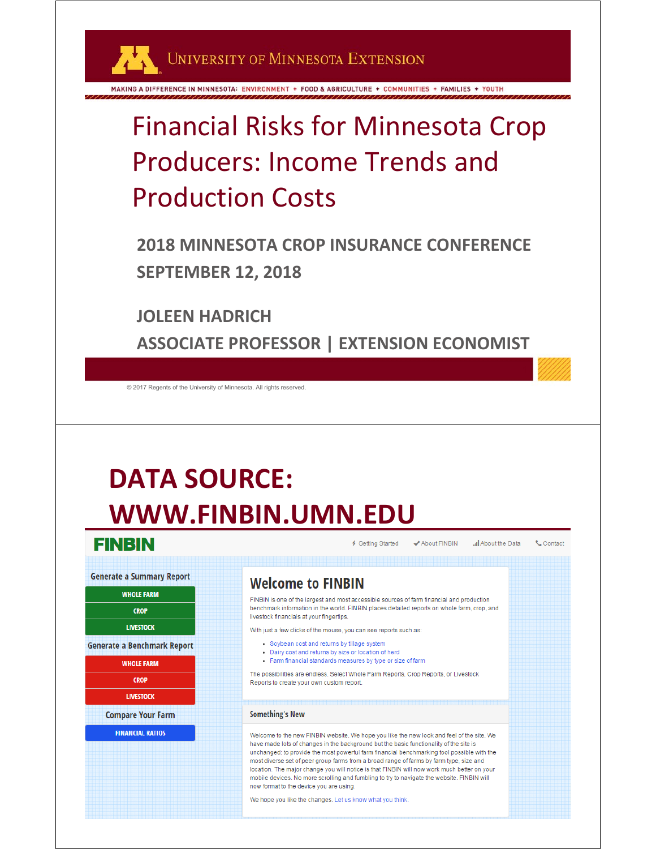UNIVERSITY OF MINNESOTA EXTENSION

MAKING A DIFFERENCE IN MINNESOTA: ENVIRONMENT + FOOD & AGRICULTURE + COMMUNITIES + FAMILIES + YOUTH

#### Financial Risks for Minnesota Crop Producers: Income Trends and Production Costs

**2018 MINNESOTA CROP INSURANCE CONFERENCE SEPTEMBER 12, 2018**

**JOLEEN HADRICH**

**ASSOCIATE PROFESSOR | EXTENSION ECONOMIST**

© 2017 Regents of the University of Minnesota. All rights reserved.

#### **DATA SOURCE: WWW.FINBIN.UMN.EDU**





© 2017 Regents of the University of Minnesota. All rights reserved.

← Getting Started ✔ About FINBIN all About the Data Contact

#### **Welcome to FINBIN**

FINBIN is one of the largest and most accessible sources of farm financial and production benchmark information in the world. FINBIN places detailed reports on whole farm, crop, and livestock financials at your fingertips

With just a few clicks of the mouse, you can see reports such as:

- Sovbean cost and returns by tillage system
- . Dairy cost and returns by size or location of herd
- Farm financial standards measures by type or size of farm

The possibilities are endless. Select Whole Farm Reports, Crop Reports, or Livestock Reports to create your own custom report

#### **Something's New**

Welcome to the new FINBIN website. We hope you like the new look and feel of the site. We have made lots of changes in the background but the basic functionality of the site is unchanged: to provide the most powerful farm financial benchmarking tool possible with the most diverse set of peer group farms from a broad range of farms by farm type, size and location. The major change you will notice is that FINBIN will now work much better on your mobile devices. No more scrolling and fumbling to try to navigate the website. FINBIN will now format to the device you are using

We hope you like the changes. Let us know what you think.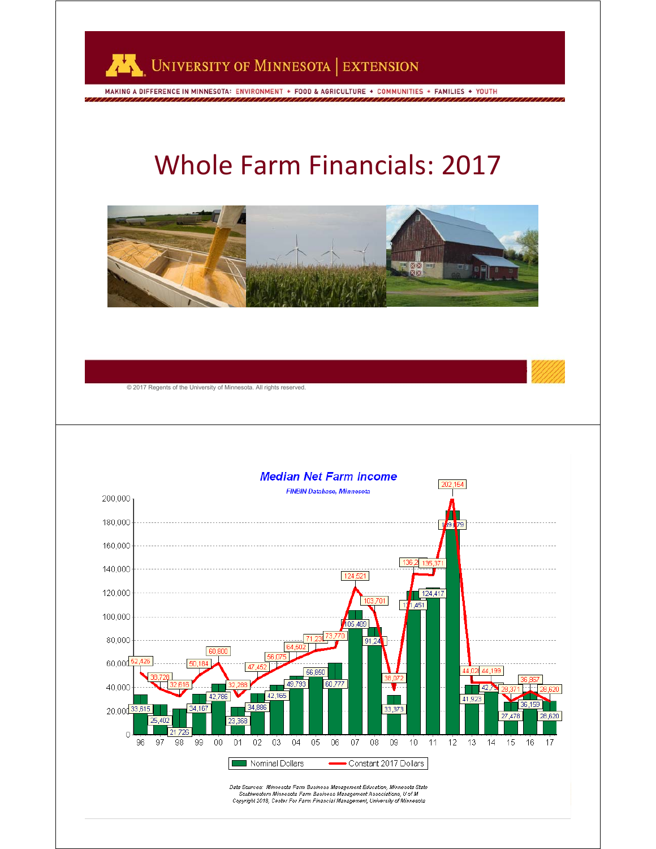

MAKING A DIFFERENCE IN MINNESOTA: ENVIRONMENT + FOOD & AGRICULTURE + COMMUNITIES + FAMILIES + YOUTH

#### Whole Farm Financials: 2017



3

© 2017 Regents of the University of Minnesota. All rights reserved.

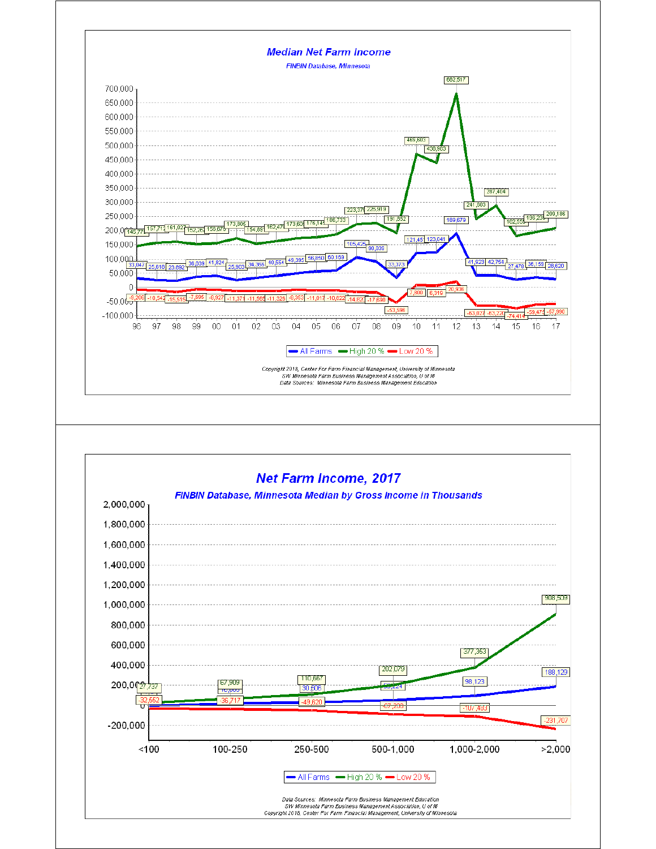

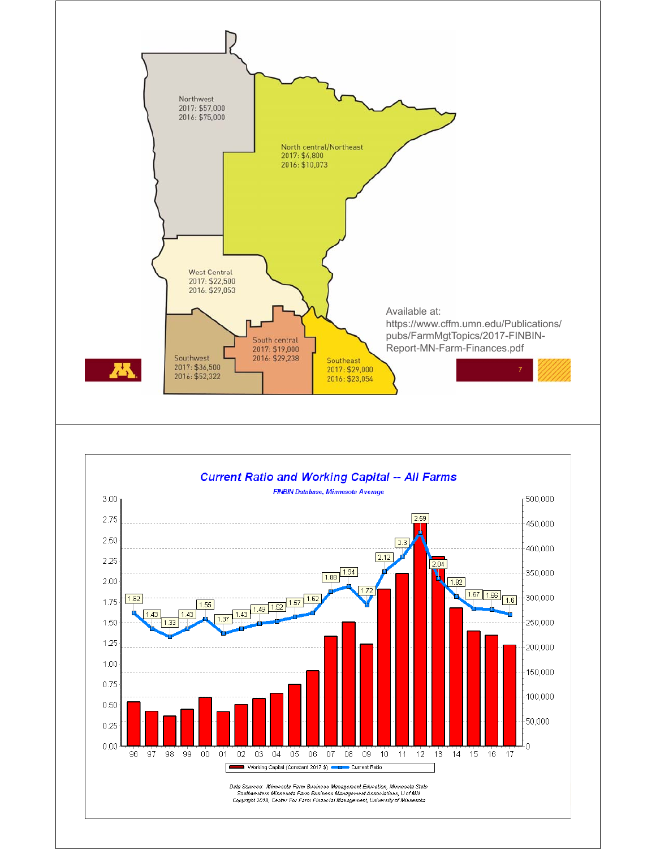



 $0.25$  $0.00$  50,000

 $\overline{0}$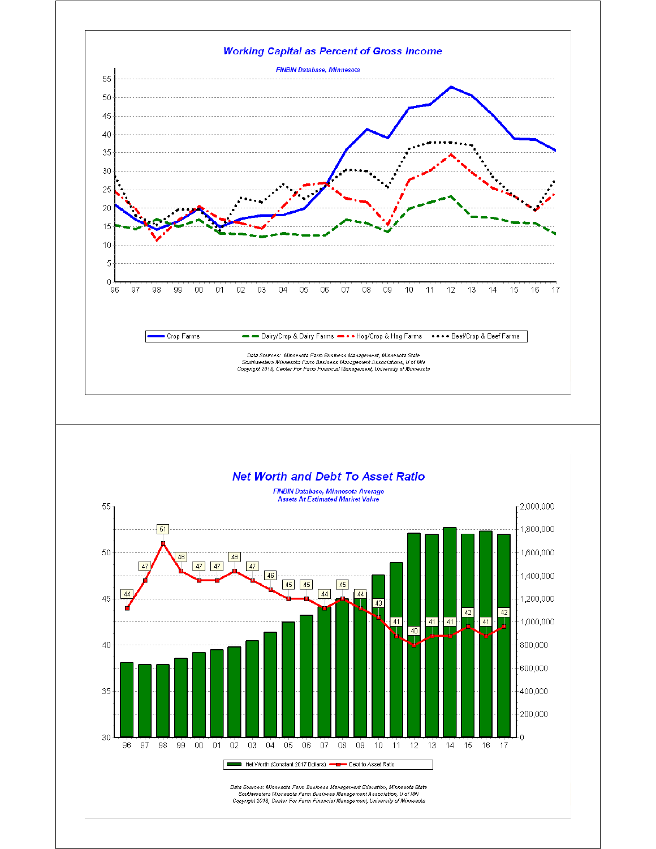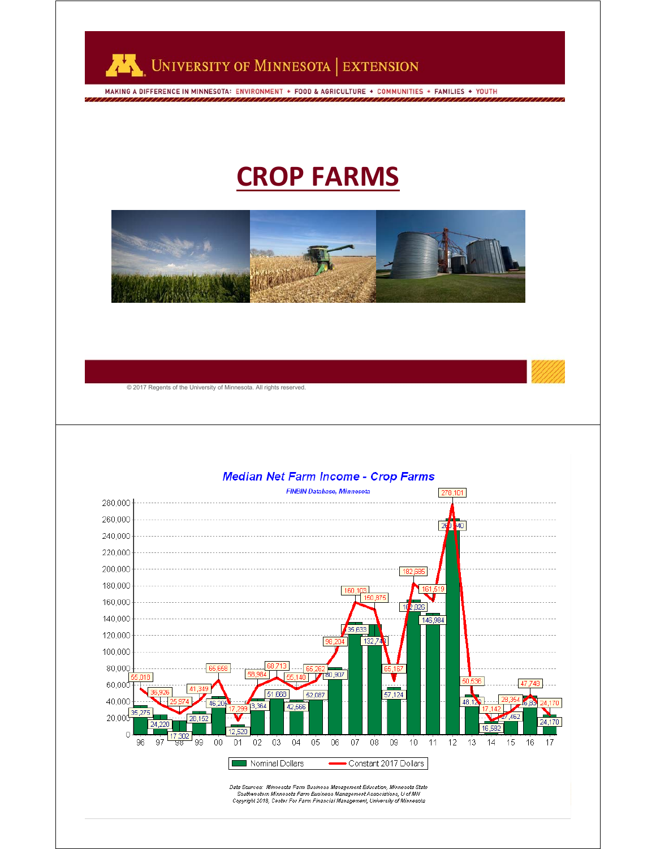

MAKING A DIFFERENCE IN MINNESOTA: ENVIRONMENT + FOOD & AGRICULTURE + COMMUNITIES + FAMILIES + YOUTH

#### **CROP FARMS**



11

© 2017 Regents of the University of Minnesota. All rights reserved.

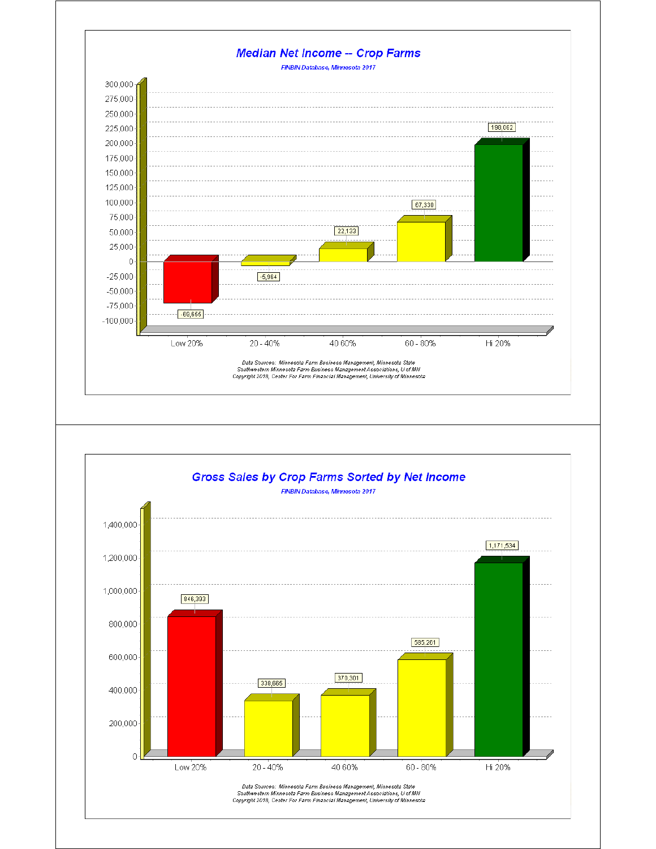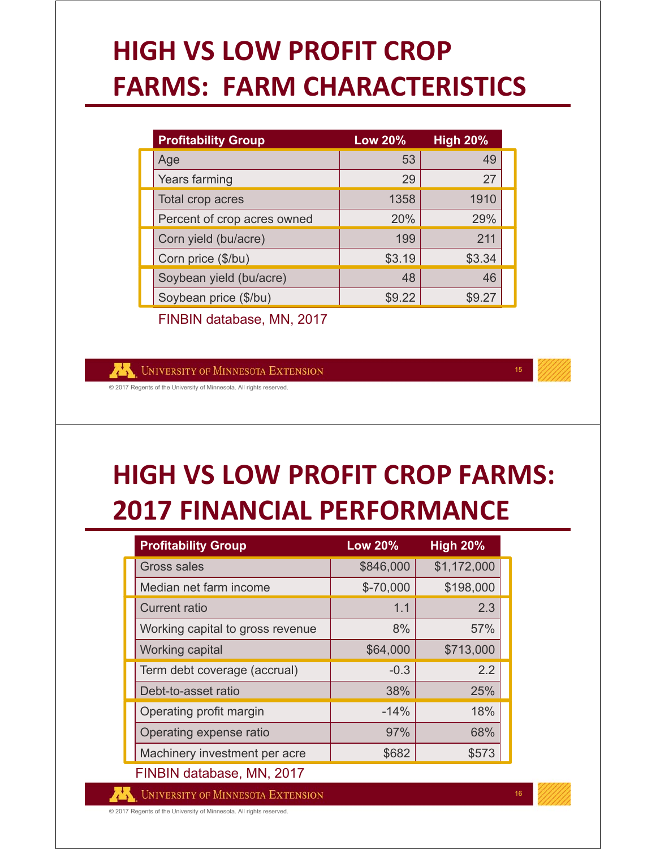# **HIGH VS LOW PROFIT CROP FARMS: FARM CHARACTERISTICS**

| <b>Profitability Group</b>  | <b>Low 20%</b> | <b>High 20%</b> |  |
|-----------------------------|----------------|-----------------|--|
| Age                         | 53             | 49              |  |
| Years farming               | 29             | 27              |  |
| Total crop acres            | 1358           | 1910            |  |
| Percent of crop acres owned | 20%            | 29%             |  |
| Corn yield (bu/acre)        | 199            | 211             |  |
| Corn price (\$/bu)          | \$3.19         | \$3.34          |  |
| Soybean yield (bu/acre)     | 48             | 46              |  |
| Soybean price (\$/bu)       | \$9.22         | S9 27           |  |

FINBIN database, MN, 2017

**UNIVERSITY OF MINNESOTA EXTENSION** 

© 2017 Regents of the University of Minnesota. All rights reserved.

#### **HIGH VS LOW PROFIT CROP FARMS: 2017 FINANCIAL PERFORMANCE**

| <b>Profitability Group</b>       | <b>Low 20%</b> | <b>High 20%</b> |  |  |  |  |
|----------------------------------|----------------|-----------------|--|--|--|--|
| <b>Gross sales</b>               | \$846,000      | \$1,172,000     |  |  |  |  |
| Median net farm income           | $$-70,000$     | \$198,000       |  |  |  |  |
| <b>Current ratio</b>             | 1.1            | 2.3             |  |  |  |  |
| Working capital to gross revenue | 8%             | 57%             |  |  |  |  |
| Working capital                  | \$64,000       | \$713,000       |  |  |  |  |
| Term debt coverage (accrual)     | $-0.3$         | 2.2             |  |  |  |  |
| Debt-to-asset ratio              | 38%            | 25%             |  |  |  |  |
| Operating profit margin          | $-14%$         | 18%             |  |  |  |  |
| Operating expense ratio          | 97%            | 68%             |  |  |  |  |
| Machinery investment per acre    | \$682          | \$573           |  |  |  |  |
| FINBIN database, MN, 2017        |                |                 |  |  |  |  |

**UNIVERSITY OF MINNESOTA EXTENSION** 

© 2017 Regents of the University of Minnesota. All rights reserved.

16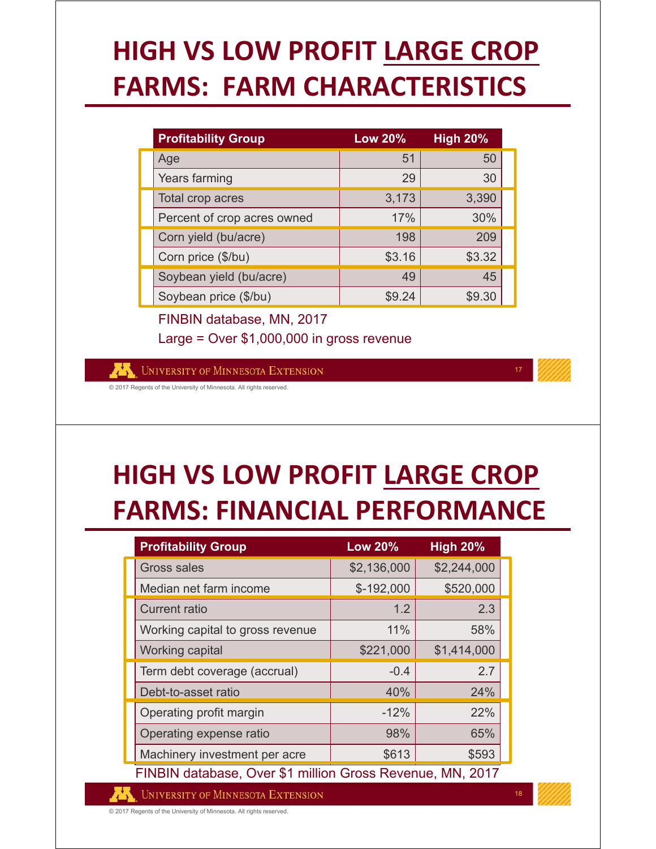# **HIGH VS LOW PROFIT LARGE CROP FARMS: FARM CHARACTERISTICS**

| <b>Profitability Group</b>  | <b>Low 20%</b> | High 20% |  |
|-----------------------------|----------------|----------|--|
| Age                         | 51             | 50       |  |
| Years farming               | 29             | 30       |  |
| Total crop acres            | 3,173          | 3,390    |  |
| Percent of crop acres owned | 17%            | 30%      |  |
| Corn yield (bu/acre)        | 198            | 209      |  |
| Corn price (\$/bu)          | \$3.16         | \$3.32   |  |
| Soybean yield (bu/acre)     | 49             | 45       |  |
| Soybean price (\$/bu)       | \$9.24         | \$9.30   |  |

FINBIN database, MN, 2017 Large = Over \$1,000,000 in gross revenue

UNIVERSITY OF MINNESOTA EXTENSION

© 2017 Regents of the University of Minnesota. All rights reserved.

#### **HIGH VS LOW PROFIT LARGE CROP FARMS: FINANCIAL PERFORMANCE**

| <b>Profitability Group</b>                                | <b>Low 20%</b> | <b>High 20%</b> |  |  |  |  |
|-----------------------------------------------------------|----------------|-----------------|--|--|--|--|
| <b>Gross sales</b>                                        | \$2,136,000    | \$2,244,000     |  |  |  |  |
| Median net farm income                                    | $$-192,000$    | \$520,000       |  |  |  |  |
| <b>Current ratio</b>                                      | 1.2            | 2.3             |  |  |  |  |
| Working capital to gross revenue                          | 11%            | 58%             |  |  |  |  |
| Working capital                                           | \$221,000      | \$1,414,000     |  |  |  |  |
| Term debt coverage (accrual)                              | $-0.4$         | 2.7             |  |  |  |  |
| Debt-to-asset ratio                                       | 40%            | 24%             |  |  |  |  |
| Operating profit margin                                   | $-12%$         | 22%             |  |  |  |  |
| Operating expense ratio                                   | 98%            | 65%             |  |  |  |  |
| Machinery investment per acre                             | \$613          | \$593           |  |  |  |  |
| FINBIN database. Over \$1 million Gross Revenue. MN. 2017 |                |                 |  |  |  |  |

**UNIVERSITY OF MINNESOTA EXTENSION** 

© 2017 Regents of the University of Minnesota. All rights reserved.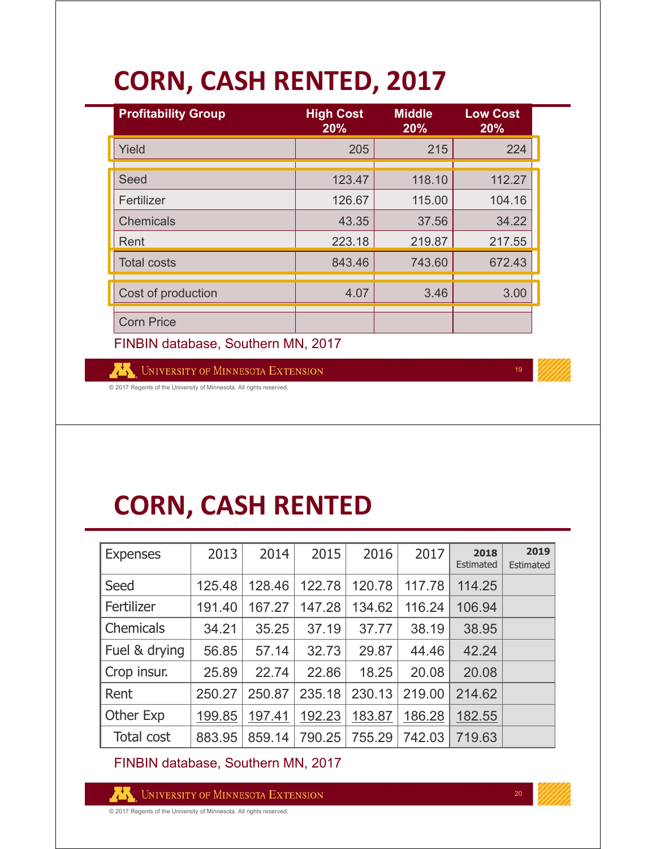## **CORN, CASH RENTED, 2017**

| <b>Profitability Group</b> | <b>High Cost</b><br>20% | <b>Middle</b><br>20% | <b>Low Cost</b><br>20% |  |
|----------------------------|-------------------------|----------------------|------------------------|--|
| Yield                      | 205                     | 215                  | 224                    |  |
|                            |                         |                      |                        |  |
| Seed                       | 123.47                  | 118.10               | 112.27                 |  |
| Fertilizer                 | 126.67                  | 115.00               | 104.16                 |  |
| <b>Chemicals</b>           | 43.35                   | 37.56                | 34.22                  |  |
| Rent                       | 223.18                  | 219.87               | 217.55                 |  |
| <b>Total costs</b>         | 843.46                  | 743.60               | 672.43                 |  |
| Cost of production         | 4.07                    | 3.46                 | 3.00                   |  |
|                            |                         |                      |                        |  |
| <b>Corn Price</b>          |                         |                      |                        |  |

FINBIN database, Southern MN, 2017

UNIVERSITY OF MINNESOTA EXTENSION

© 2017 Regents of the University of Minnesota. All rights reserved.

#### **CORN, CASH RENTED**

| <b>Expenses</b>  | 2013   | 2014   | 2015   | 2016   | 2017   | 2018<br>Estimated | 2019<br>Estimated |
|------------------|--------|--------|--------|--------|--------|-------------------|-------------------|
| Seed             | 125.48 | 128.46 | 122.78 | 120.78 | 117.78 | 114.25            |                   |
| Fertilizer       | 191.40 | 167.27 | 147.28 | 134.62 | 116.24 | 106.94            |                   |
| <b>Chemicals</b> | 34.21  | 35.25  | 37.19  | 37.77  | 38.19  | 38.95             |                   |
| Fuel & drying    | 56.85  | 57.14  | 32.73  | 29.87  | 44.46  | 42.24             |                   |
| Crop insur.      | 25.89  | 22.74  | 22.86  | 18.25  | 20.08  | 20.08             |                   |
| Rent             | 250.27 | 250.87 | 235.18 | 230.13 | 219.00 | 214.62            |                   |
| Other Exp        | 199.85 | 197.41 | 192.23 | 183.87 | 186.28 | 182.55            |                   |
| Total cost       | 883.95 | 859.14 | 790.25 | 755.29 | 742.03 | 719.63            |                   |

FINBIN database, Southern MN, 2017

UNIVERSITY OF MINNESOTA EXTENSION

© 2017 Regents of the University of Minnesota. All rights reserved.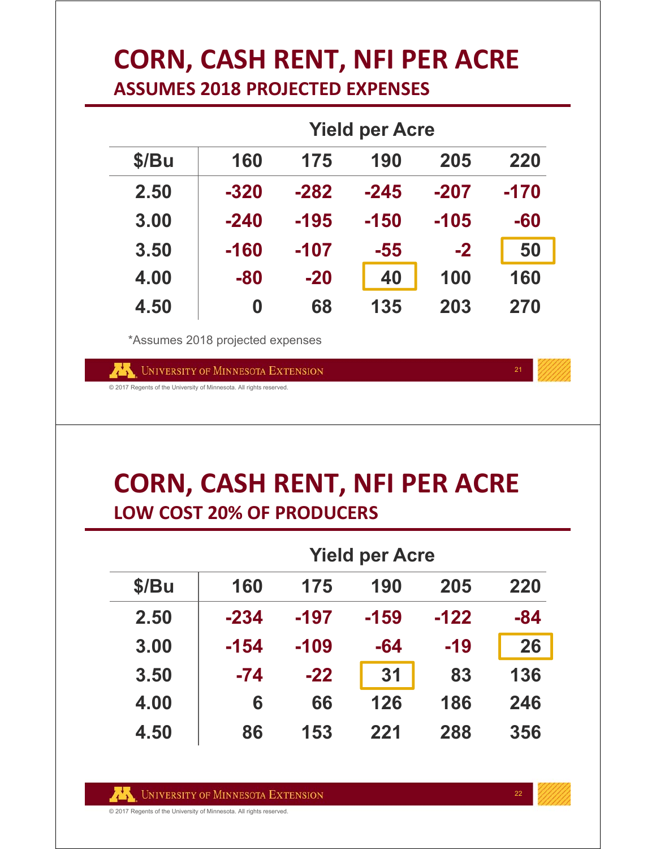#### **CORN, CASH RENT, NFI PER ACRE ASSUMES 2018 PROJECTED EXPENSES**

|       | <b>Yield per Acre</b> |        |        |        |        |  |
|-------|-----------------------|--------|--------|--------|--------|--|
| \$/Bu | 160                   | 175    | 190    | 205    | 220    |  |
| 2.50  | $-320$                | $-282$ | $-245$ | $-207$ | $-170$ |  |
| 3.00  | $-240$                | -195   | $-150$ | $-105$ | -60    |  |
| 3.50  | -160                  | -107   | -55    | $-2$   | 50     |  |
| 4.00  | -80                   | $-20$  | 40     | 100    | 160    |  |
| 4.50  | 0                     | 68     | 135    | 203    | 270    |  |

\*Assumes 2018 projected expenses

UNIVERSITY OF MINNESOTA EXTENSION

© 2017 Regents of the University of Minnesota. All rights reserved.

#### **CORN, CASH RENT, NFI PER ACRE LOW COST 20% OF PRODUCERS**

|       | <b>Yield per Acre</b> |        |        |        |       |  |
|-------|-----------------------|--------|--------|--------|-------|--|
| \$/Bu | 160                   | 175    | 190    | 205    | 220   |  |
| 2.50  | $-234$                | $-197$ | $-159$ | $-122$ | $-84$ |  |
| 3.00  | $-154$                | $-109$ | $-64$  | $-19$  | 26    |  |
| 3.50  | $-74$                 | $-22$  | 31     | 83     | 136   |  |
| 4.00  | 6                     | 66     | 126    | 186    | 246   |  |
| 4.50  | 86                    | 153    | 221    | 288    | 356   |  |

21

© 2017 Regents of the University of Minnesota. All rights reserved.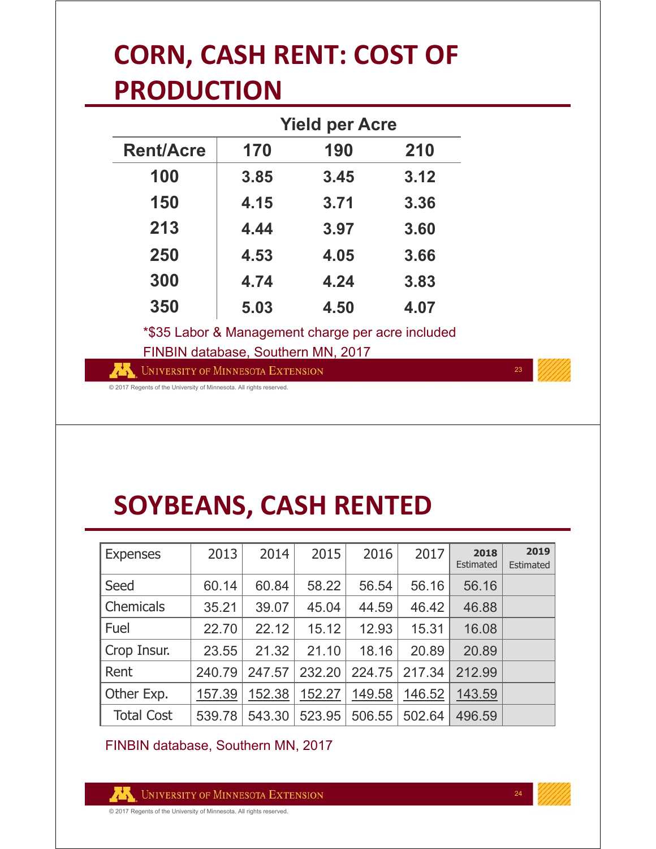# **CORN, CASH RENT: COST OF PRODUCTION**

|                                                                                         |      | <b>Yield per Acre</b> |      |  |  |
|-----------------------------------------------------------------------------------------|------|-----------------------|------|--|--|
| <b>Rent/Acre</b>                                                                        | 170  | 190                   | 210  |  |  |
| 100                                                                                     | 3.85 | 3.45                  | 3.12 |  |  |
| 150                                                                                     | 4.15 | 3.71                  | 3.36 |  |  |
| 213                                                                                     | 4.44 | 3.97                  | 3.60 |  |  |
| 250                                                                                     | 4.53 | 4.05                  | 3.66 |  |  |
| 300                                                                                     | 4.74 | 4.24                  | 3.83 |  |  |
| 350                                                                                     | 5.03 | 4.50                  | 4.07 |  |  |
| *\$35 Labor & Management charge per acre included<br>FINBIN database, Southern MN, 2017 |      |                       |      |  |  |

UNIVERSITY OF MINNESOTA EXTENSION

**23** 

© 2017 Regents of the University of Minnesota. All rights reserved.

# **SOYBEANS, CASH RENTED**

| <b>Expenses</b>   | 2013   | 2014   | 2015   | 2016   | 2017   | 2018<br>Estimated | 2019<br>Estimated |
|-------------------|--------|--------|--------|--------|--------|-------------------|-------------------|
| Seed              | 60.14  | 60.84  | 58.22  | 56.54  | 56.16  | 56.16             |                   |
| Chemicals         | 35.21  | 39.07  | 45.04  | 44.59  | 46.42  | 46.88             |                   |
| Fuel              | 22.70  | 22.12  | 15.12  | 12.93  | 15.31  | 16.08             |                   |
| Crop Insur.       | 23.55  | 21.32  | 21.10  | 18.16  | 20.89  | 20.89             |                   |
| Rent              | 240.79 | 247.57 | 232.20 | 224.75 | 217.34 | 212.99            |                   |
| Other Exp.        | 157.39 | 152.38 | 152.27 | 149.58 | 146.52 | 143.59            |                   |
| <b>Total Cost</b> | 539.78 | 543.30 | 523.95 | 506.55 | 502.64 | 496.59            |                   |

FINBIN database, Southern MN, 2017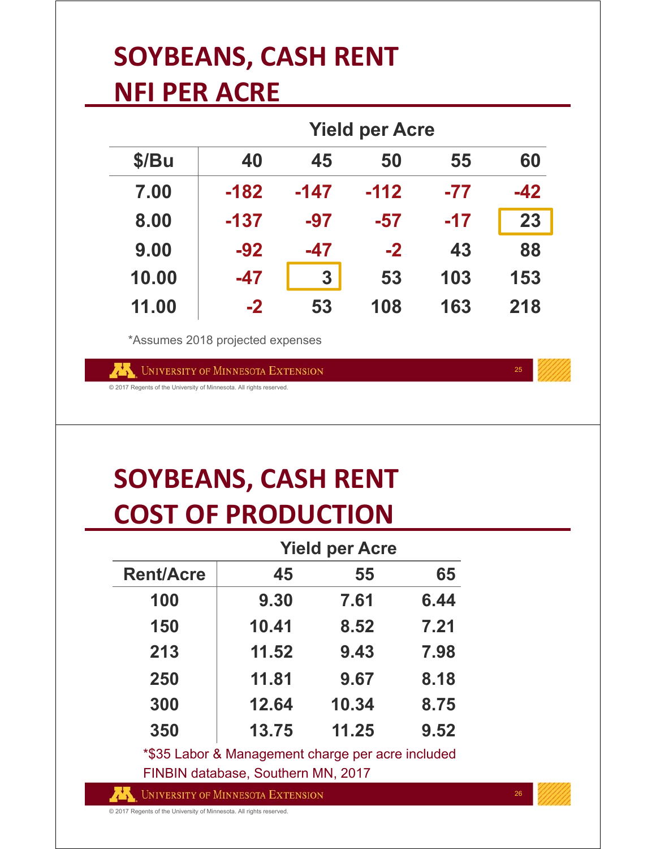#### **SOYBEANS, CASH RENT NFI PER ACRE**

|       | <b>Yield per Acre</b>            |                  |        |       |       |  |
|-------|----------------------------------|------------------|--------|-------|-------|--|
| \$/Bu | 40                               | 45               | 50     | 55    | 60    |  |
| 7.00  | $-182$                           | -147             | $-112$ | $-77$ | $-42$ |  |
| 8.00  | $-137$                           | $-97$            | -57    | $-17$ | 23    |  |
| 9.00  | $-92$                            | -47              | $-2$   | 43    | 88    |  |
| 10.00 | $-47$                            | $\boldsymbol{3}$ | 53     | 103   | 153   |  |
| 11.00 | $-2$                             | 53               | 108    | 163   | 218   |  |
|       | *Assumes 2018 projected expenses |                  |        |       |       |  |

UNIVERSITY OF MINNESOTA EXTENSION

© 2017 Regents of the University of Minnesota. All rights reserved.

#### **SOYBEANS, CASH RENT COST OF PRODUCTION**

|                  | <b>Yield per Acre</b> |       |      |  |  |
|------------------|-----------------------|-------|------|--|--|
| <b>Rent/Acre</b> | 45                    | 55    | 65   |  |  |
| 100              | 9.30                  | 7.61  | 6.44 |  |  |
| 150              | 10.41                 | 8.52  | 7.21 |  |  |
| 213              | 11.52                 | 9.43  | 7.98 |  |  |
| 250              | 11.81                 | 9.67  | 8.18 |  |  |
| 300              | 12.64                 | 10.34 | 8.75 |  |  |
| 350              | 13.75                 | 11.25 | 9.52 |  |  |

\*\$35 Labor & Management charge per acre included FINBIN database, Southern MN, 2017

**UNIVERSITY OF MINNESOTA EXTENSION** 

2626